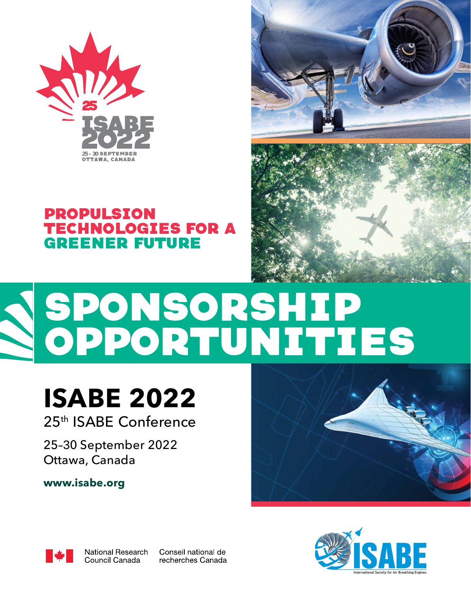

# PROPULSION TECHNOLOGIES FOR A GREENER FUTURE





# SPONSORSHIP OPPORTUNITIES

# **ISABE 2022** 25th ISABE Conference

25–30 September 2022 Ottawa, Canada

**[www.isabe.org](http://www.isabe.org)**



National Research Council Canada

Conseil national de recherches Canada



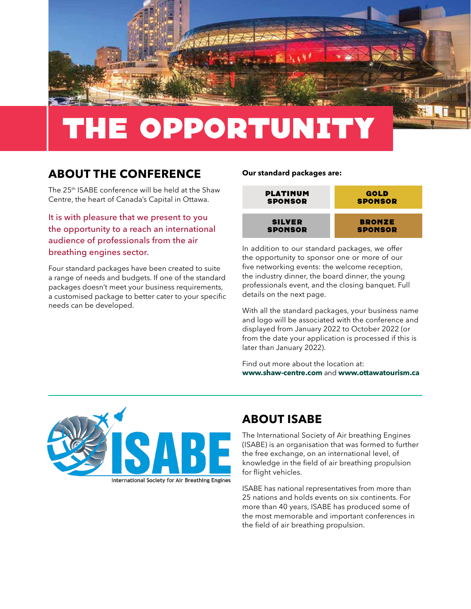

# THE OPPORTUNITY

# **ABOUT THE CONFERENCE**

The 25th ISABE conference will be held at the Shaw Centre, the heart of Canada's Capital in Ottawa.

It is with pleasure that we present to you the opportunity to a reach an international audience of professionals from the air breathing engines sector.

Four standard packages have been created to suite a range of needs and budgets. If one of the standard packages doesn't meet your business requirements, a customised package to better cater to your specific needs can be developed.

#### **Our standard packages are:**



In addition to our standard packages, we offer the opportunity to sponsor one or more of our five networking events: the welcome reception, the industry dinner, the board dinner, the young professionals event, and the closing banquet. Full details on the next page.

With all the standard packages, your business name and logo will be associated with the conference and displayed from January 2022 to October 2022 (or from the date your application is processed if this is later than January 2022).

Find out more about the location at: **[www.shaw-centre.com](http://www.shaw-centre.com)** and **[www.ottawatourism.ca](http://www.ottawatourism.ca)**



## **ABOUT ISABE**

The International Society of Air breathing Engines (ISABE) is an organisation that was formed to further the free exchange, on an international level, of knowledge in the field of air breathing propulsion for flight vehicles.

ISABE has national representatives from more than 25 nations and holds events on six continents. For more than 40 years, ISABE has produced some of the most memorable and important conferences in the field of air breathing propulsion.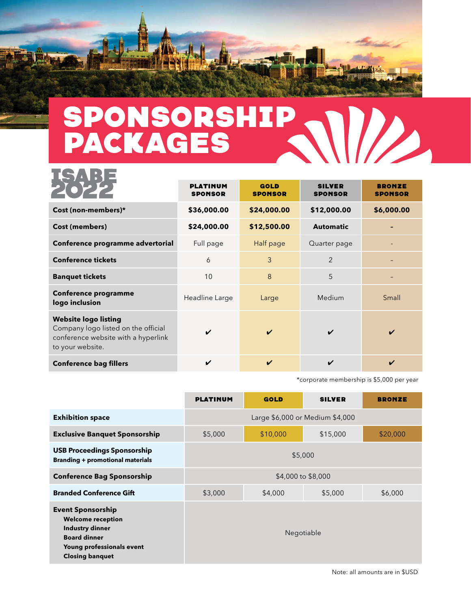

**TAANT** 

### SPONSORSHIP D.  $\mathbf{U}$ PACKAGES

|                                                                                                                               | <b>PLATINUM</b><br><b>SPONSOR</b> | <b>GOLD</b><br><b>SPONSOR</b> | <b>SILVER</b><br><b>SPONSOR</b> | <b>BRONZE</b><br><b>SPONSOR</b> |
|-------------------------------------------------------------------------------------------------------------------------------|-----------------------------------|-------------------------------|---------------------------------|---------------------------------|
| Cost (non-members)*                                                                                                           | \$36,000.00                       | \$24,000.00                   | \$12,000.00                     | \$6,000.00                      |
| Cost (members)                                                                                                                | \$24,000.00                       | \$12,500.00                   | <b>Automatic</b>                |                                 |
| Conference programme advertorial                                                                                              | Full page                         | Half page                     | Quarter page                    |                                 |
| <b>Conference tickets</b>                                                                                                     | 6                                 | 3                             | 2                               |                                 |
| <b>Banquet tickets</b>                                                                                                        | 10                                | 8                             | 5                               |                                 |
| <b>Conference programme</b><br>logo inclusion                                                                                 | Headline Large                    | Large                         | Medium                          | Small                           |
| <b>Website logo listing</b><br>Company logo listed on the official<br>conference website with a hyperlink<br>to your website. |                                   | ✓                             | V                               | $\boldsymbol{\nu}$              |
| <b>Conference bag fillers</b>                                                                                                 | ✔                                 | $\boldsymbol{\checkmark}$     | ✔                               | ✔                               |

\*corporate membership is \$5,000 per year

|                                                                                                                                                              | <b>PLATINUM</b>                 | <b>GOLD</b> | <b>SILVER</b> | <b>BRONZE</b> |  |
|--------------------------------------------------------------------------------------------------------------------------------------------------------------|---------------------------------|-------------|---------------|---------------|--|
| <b>Exhibition space</b>                                                                                                                                      | Large \$6,000 or Medium \$4,000 |             |               |               |  |
| <b>Exclusive Banquet Sponsorship</b>                                                                                                                         | \$5,000                         | \$10,000    | \$15,000      | \$20,000      |  |
| <b>USB Proceedings Sponsorship</b><br><b>Branding + promotional materials</b>                                                                                | \$5,000                         |             |               |               |  |
| <b>Conference Bag Sponsorship</b>                                                                                                                            | \$4,000 to \$8,000              |             |               |               |  |
| <b>Branded Conference Gift</b>                                                                                                                               | \$3,000                         | \$4,000     | \$5,000       | \$6,000       |  |
| <b>Event Sponsorship</b><br><b>Welcome reception</b><br><b>Industry dinner</b><br><b>Board dinner</b><br>Young professionals event<br><b>Closing banquet</b> | Negotiable                      |             |               |               |  |

Note: all amounts are in \$USD